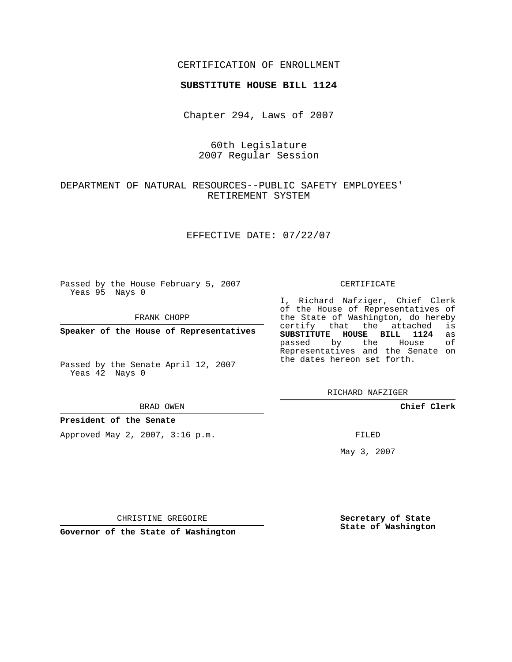## CERTIFICATION OF ENROLLMENT

#### **SUBSTITUTE HOUSE BILL 1124**

Chapter 294, Laws of 2007

60th Legislature 2007 Regular Session

## DEPARTMENT OF NATURAL RESOURCES--PUBLIC SAFETY EMPLOYEES' RETIREMENT SYSTEM

EFFECTIVE DATE: 07/22/07

Passed by the House February 5, 2007 Yeas 95 Nays 0

FRANK CHOPP

**Speaker of the House of Representatives**

Passed by the Senate April 12, 2007 Yeas  $4\overline{2}$  Nays 0

BRAD OWEN

**President of the Senate**

Approved May 2, 2007, 3:16 p.m.

#### CERTIFICATE

I, Richard Nafziger, Chief Clerk of the House of Representatives of the State of Washington, do hereby<br>certify that the attached is certify that the attached **SUBSTITUTE HOUSE BILL 1124** as passed by the House Representatives and the Senate on the dates hereon set forth.

RICHARD NAFZIGER

**Chief Clerk**

FILED

May 3, 2007

**Secretary of State State of Washington**

CHRISTINE GREGOIRE

**Governor of the State of Washington**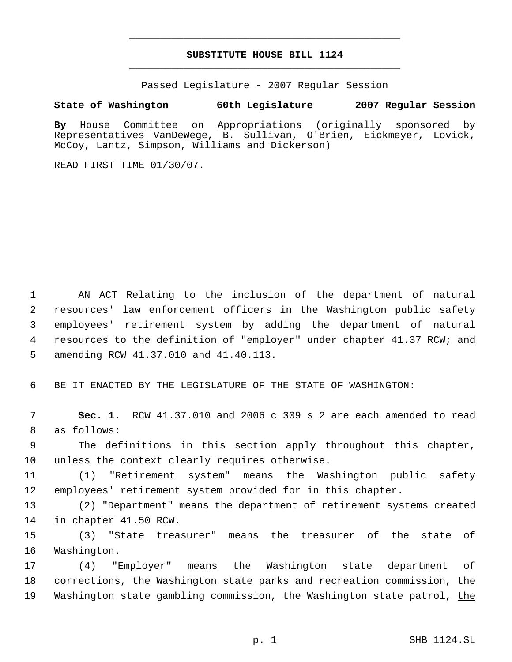# **SUBSTITUTE HOUSE BILL 1124** \_\_\_\_\_\_\_\_\_\_\_\_\_\_\_\_\_\_\_\_\_\_\_\_\_\_\_\_\_\_\_\_\_\_\_\_\_\_\_\_\_\_\_\_\_

\_\_\_\_\_\_\_\_\_\_\_\_\_\_\_\_\_\_\_\_\_\_\_\_\_\_\_\_\_\_\_\_\_\_\_\_\_\_\_\_\_\_\_\_\_

Passed Legislature - 2007 Regular Session

### **State of Washington 60th Legislature 2007 Regular Session**

**By** House Committee on Appropriations (originally sponsored by Representatives VanDeWege, B. Sullivan, O'Brien, Eickmeyer, Lovick, McCoy, Lantz, Simpson, Williams and Dickerson)

READ FIRST TIME 01/30/07.

 AN ACT Relating to the inclusion of the department of natural resources' law enforcement officers in the Washington public safety employees' retirement system by adding the department of natural resources to the definition of "employer" under chapter 41.37 RCW; and amending RCW 41.37.010 and 41.40.113.

BE IT ENACTED BY THE LEGISLATURE OF THE STATE OF WASHINGTON:

 **Sec. 1.** RCW 41.37.010 and 2006 c 309 s 2 are each amended to read as follows:

 The definitions in this section apply throughout this chapter, unless the context clearly requires otherwise.

 (1) "Retirement system" means the Washington public safety employees' retirement system provided for in this chapter.

 (2) "Department" means the department of retirement systems created in chapter 41.50 RCW.

 (3) "State treasurer" means the treasurer of the state of Washington.

 (4) "Employer" means the Washington state department of corrections, the Washington state parks and recreation commission, the 19 Washington state gambling commission, the Washington state patrol, the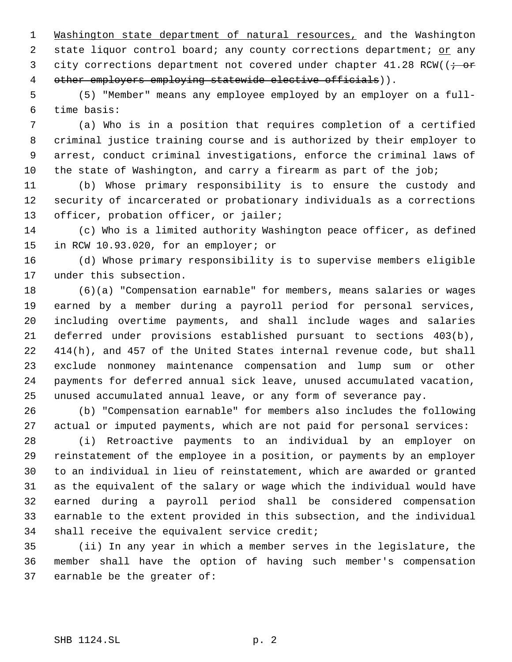Washington state department of natural resources, and the Washington 2 state liquor control board; any county corrections department; or any 3 city corrections department not covered under chapter  $41.28$  RCW( $\rightarrow$ 4 other employers employing statewide elective officials)).

 (5) "Member" means any employee employed by an employer on a full- time basis:

 (a) Who is in a position that requires completion of a certified criminal justice training course and is authorized by their employer to arrest, conduct criminal investigations, enforce the criminal laws of the state of Washington, and carry a firearm as part of the job;

 (b) Whose primary responsibility is to ensure the custody and security of incarcerated or probationary individuals as a corrections 13 officer, probation officer, or jailer;

 (c) Who is a limited authority Washington peace officer, as defined in RCW 10.93.020, for an employer; or

 (d) Whose primary responsibility is to supervise members eligible under this subsection.

 (6)(a) "Compensation earnable" for members, means salaries or wages earned by a member during a payroll period for personal services, including overtime payments, and shall include wages and salaries deferred under provisions established pursuant to sections 403(b), 414(h), and 457 of the United States internal revenue code, but shall exclude nonmoney maintenance compensation and lump sum or other payments for deferred annual sick leave, unused accumulated vacation, unused accumulated annual leave, or any form of severance pay.

 (b) "Compensation earnable" for members also includes the following actual or imputed payments, which are not paid for personal services:

 (i) Retroactive payments to an individual by an employer on reinstatement of the employee in a position, or payments by an employer to an individual in lieu of reinstatement, which are awarded or granted as the equivalent of the salary or wage which the individual would have earned during a payroll period shall be considered compensation earnable to the extent provided in this subsection, and the individual shall receive the equivalent service credit;

 (ii) In any year in which a member serves in the legislature, the member shall have the option of having such member's compensation earnable be the greater of: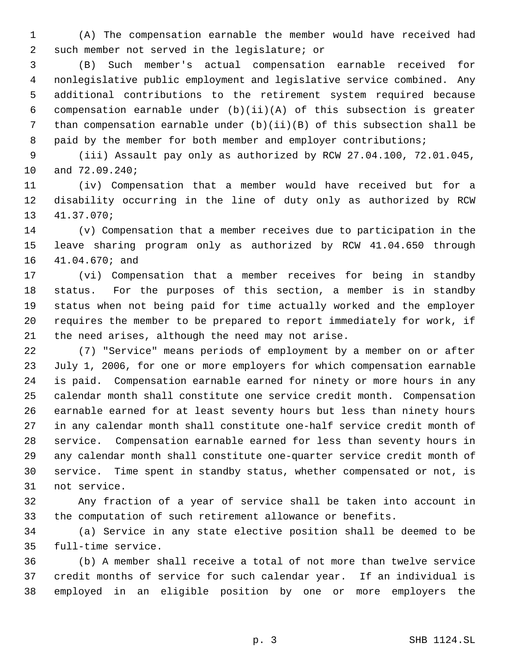(A) The compensation earnable the member would have received had such member not served in the legislature; or

 (B) Such member's actual compensation earnable received for nonlegislative public employment and legislative service combined. Any additional contributions to the retirement system required because compensation earnable under (b)(ii)(A) of this subsection is greater than compensation earnable under (b)(ii)(B) of this subsection shall be 8 paid by the member for both member and employer contributions;

 (iii) Assault pay only as authorized by RCW 27.04.100, 72.01.045, and 72.09.240;

 (iv) Compensation that a member would have received but for a disability occurring in the line of duty only as authorized by RCW 41.37.070;

 (v) Compensation that a member receives due to participation in the leave sharing program only as authorized by RCW 41.04.650 through 41.04.670; and

 (vi) Compensation that a member receives for being in standby status. For the purposes of this section, a member is in standby status when not being paid for time actually worked and the employer requires the member to be prepared to report immediately for work, if the need arises, although the need may not arise.

 (7) "Service" means periods of employment by a member on or after July 1, 2006, for one or more employers for which compensation earnable is paid. Compensation earnable earned for ninety or more hours in any calendar month shall constitute one service credit month. Compensation earnable earned for at least seventy hours but less than ninety hours in any calendar month shall constitute one-half service credit month of service. Compensation earnable earned for less than seventy hours in any calendar month shall constitute one-quarter service credit month of service. Time spent in standby status, whether compensated or not, is not service.

 Any fraction of a year of service shall be taken into account in the computation of such retirement allowance or benefits.

 (a) Service in any state elective position shall be deemed to be full-time service.

 (b) A member shall receive a total of not more than twelve service credit months of service for such calendar year. If an individual is employed in an eligible position by one or more employers the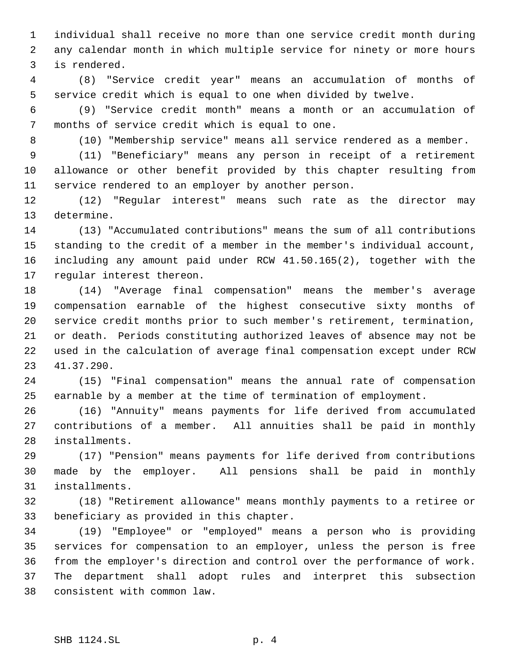individual shall receive no more than one service credit month during any calendar month in which multiple service for ninety or more hours is rendered.

 (8) "Service credit year" means an accumulation of months of service credit which is equal to one when divided by twelve.

 (9) "Service credit month" means a month or an accumulation of months of service credit which is equal to one.

(10) "Membership service" means all service rendered as a member.

 (11) "Beneficiary" means any person in receipt of a retirement allowance or other benefit provided by this chapter resulting from service rendered to an employer by another person.

 (12) "Regular interest" means such rate as the director may determine.

 (13) "Accumulated contributions" means the sum of all contributions standing to the credit of a member in the member's individual account, including any amount paid under RCW 41.50.165(2), together with the regular interest thereon.

 (14) "Average final compensation" means the member's average compensation earnable of the highest consecutive sixty months of service credit months prior to such member's retirement, termination, or death. Periods constituting authorized leaves of absence may not be used in the calculation of average final compensation except under RCW 41.37.290.

 (15) "Final compensation" means the annual rate of compensation earnable by a member at the time of termination of employment.

 (16) "Annuity" means payments for life derived from accumulated contributions of a member. All annuities shall be paid in monthly installments.

 (17) "Pension" means payments for life derived from contributions made by the employer. All pensions shall be paid in monthly installments.

 (18) "Retirement allowance" means monthly payments to a retiree or beneficiary as provided in this chapter.

 (19) "Employee" or "employed" means a person who is providing services for compensation to an employer, unless the person is free from the employer's direction and control over the performance of work. The department shall adopt rules and interpret this subsection consistent with common law.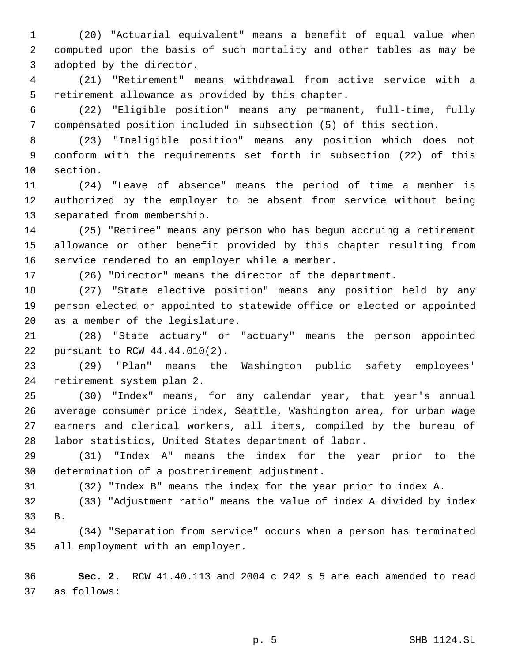(20) "Actuarial equivalent" means a benefit of equal value when computed upon the basis of such mortality and other tables as may be adopted by the director.

 (21) "Retirement" means withdrawal from active service with a retirement allowance as provided by this chapter.

 (22) "Eligible position" means any permanent, full-time, fully compensated position included in subsection (5) of this section.

 (23) "Ineligible position" means any position which does not conform with the requirements set forth in subsection (22) of this section.

 (24) "Leave of absence" means the period of time a member is authorized by the employer to be absent from service without being separated from membership.

 (25) "Retiree" means any person who has begun accruing a retirement allowance or other benefit provided by this chapter resulting from service rendered to an employer while a member.

(26) "Director" means the director of the department.

 (27) "State elective position" means any position held by any person elected or appointed to statewide office or elected or appointed as a member of the legislature.

 (28) "State actuary" or "actuary" means the person appointed pursuant to RCW 44.44.010(2).

 (29) "Plan" means the Washington public safety employees' retirement system plan 2.

 (30) "Index" means, for any calendar year, that year's annual average consumer price index, Seattle, Washington area, for urban wage earners and clerical workers, all items, compiled by the bureau of labor statistics, United States department of labor.

 (31) "Index A" means the index for the year prior to the determination of a postretirement adjustment.

(32) "Index B" means the index for the year prior to index A.

 (33) "Adjustment ratio" means the value of index A divided by index B.

 (34) "Separation from service" occurs when a person has terminated all employment with an employer.

 **Sec. 2.** RCW 41.40.113 and 2004 c 242 s 5 are each amended to read as follows: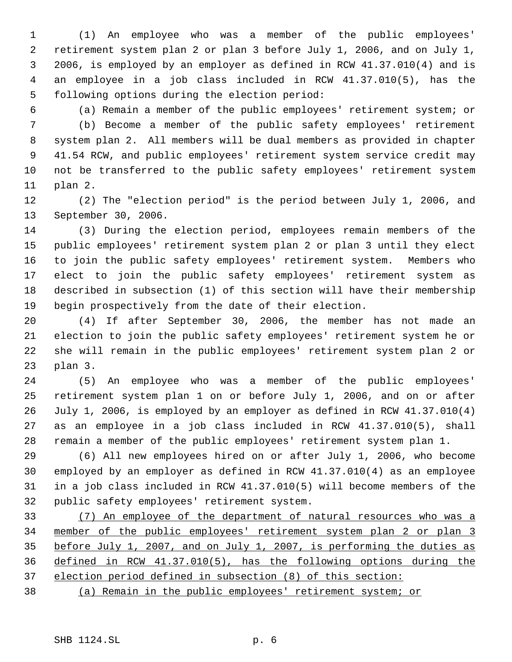(1) An employee who was a member of the public employees' retirement system plan 2 or plan 3 before July 1, 2006, and on July 1, 2006, is employed by an employer as defined in RCW 41.37.010(4) and is an employee in a job class included in RCW 41.37.010(5), has the following options during the election period:

 (a) Remain a member of the public employees' retirement system; or (b) Become a member of the public safety employees' retirement system plan 2. All members will be dual members as provided in chapter 41.54 RCW, and public employees' retirement system service credit may not be transferred to the public safety employees' retirement system plan 2.

 (2) The "election period" is the period between July 1, 2006, and September 30, 2006.

 (3) During the election period, employees remain members of the public employees' retirement system plan 2 or plan 3 until they elect to join the public safety employees' retirement system. Members who elect to join the public safety employees' retirement system as described in subsection (1) of this section will have their membership begin prospectively from the date of their election.

 (4) If after September 30, 2006, the member has not made an election to join the public safety employees' retirement system he or she will remain in the public employees' retirement system plan 2 or plan 3.

 (5) An employee who was a member of the public employees' retirement system plan 1 on or before July 1, 2006, and on or after July 1, 2006, is employed by an employer as defined in RCW 41.37.010(4) as an employee in a job class included in RCW 41.37.010(5), shall remain a member of the public employees' retirement system plan 1.

 (6) All new employees hired on or after July 1, 2006, who become employed by an employer as defined in RCW 41.37.010(4) as an employee in a job class included in RCW 41.37.010(5) will become members of the public safety employees' retirement system.

 (7) An employee of the department of natural resources who was a member of the public employees' retirement system plan 2 or plan 3 before July 1, 2007, and on July 1, 2007, is performing the duties as defined in RCW 41.37.010(5), has the following options during the election period defined in subsection (8) of this section:

(a) Remain in the public employees' retirement system; or